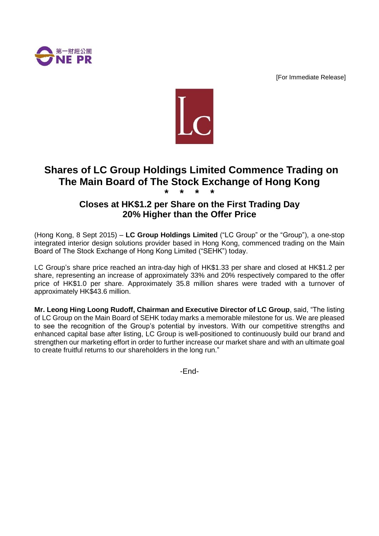

[For Immediate Release]



# **Shares of LC Group Holdings Limited Commence Trading on The Main Board of The Stock Exchange of Hong Kong \* \* \* \***

## **Closes at HK\$1.2 per Share on the First Trading Day 20% Higher than the Offer Price**

(Hong Kong, 8 Sept 2015) – **LC Group Holdings Limited** ("LC Group" or the "Group"), a one-stop integrated interior design solutions provider based in Hong Kong, commenced trading on the Main Board of The Stock Exchange of Hong Kong Limited ("SEHK") today.

LC Group's share price reached an intra-day high of HK\$1.33 per share and closed at HK\$1.2 per share, representing an increase of approximately 33% and 20% respectively compared to the offer price of HK\$1.0 per share. Approximately 35.8 million shares were traded with a turnover of approximately HK\$43.6 million.

**Mr. Leong Hing Loong Rudoff, Chairman and Executive Director of LC Group**, said, "The listing of LC Group on the Main Board of SEHK today marks a memorable milestone for us. We are pleased to see the recognition of the Group's potential by investors. With our competitive strengths and enhanced capital base after listing, LC Group is well-positioned to continuously build our brand and strengthen our marketing effort in order to further increase our market share and with an ultimate goal to create fruitful returns to our shareholders in the long run."

-End-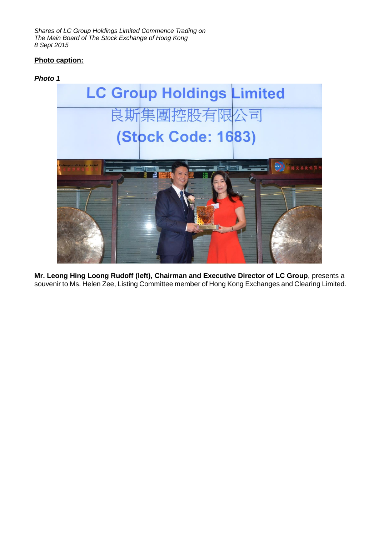*Shares of LC Group Holdings Limited Commence Trading on The Main Board of The Stock Exchange of Hong Kong 8 Sept 2015*

### **Photo caption:**

#### *Photo 1*



**Mr. Leong Hing Loong Rudoff (left), Chairman and Executive Director of LC Group**, presents a souvenir to Ms. Helen Zee, Listing Committee member of Hong Kong Exchanges and Clearing Limited.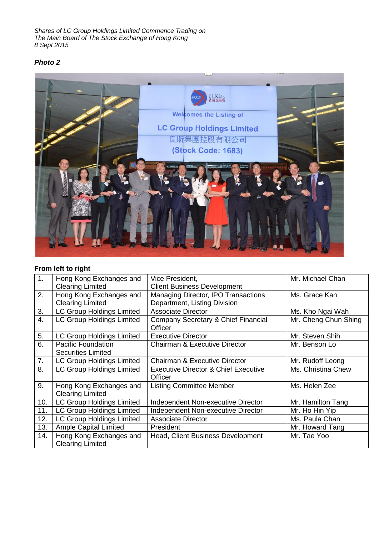*Shares of LC Group Holdings Limited Commence Trading on The Main Board of The Stock Exchange of Hong Kong 8 Sept 2015*

## *Photo 2*



## **From left to right**

| 1 <sub>1</sub> | Hong Kong Exchanges and                            | Vice President,                                 | Mr. Michael Chan     |
|----------------|----------------------------------------------------|-------------------------------------------------|----------------------|
|                | <b>Clearing Limited</b>                            | <b>Client Business Development</b>              |                      |
| 2.             | Hong Kong Exchanges and                            | Managing Director, IPO Transactions             | Ms. Grace Kan        |
|                | <b>Clearing Limited</b>                            | Department, Listing Division                    |                      |
| 3.             | <b>LC Group Holdings Limited</b>                   | <b>Associate Director</b>                       | Ms. Kho Ngai Wah     |
| 4.             | <b>LC Group Holdings Limited</b>                   | Company Secretary & Chief Financial<br>Officer  | Mr. Cheng Chun Shing |
| 5.             | <b>LC Group Holdings Limited</b>                   | <b>Executive Director</b>                       | Mr. Steven Shih      |
| 6.             | <b>Pacific Foundation</b>                          | <b>Chairman &amp; Executive Director</b>        | Mr. Benson Lo        |
|                | <b>Securities Limited</b>                          |                                                 |                      |
| 7.             | LC Group Holdings Limited                          | <b>Chairman &amp; Executive Director</b>        | Mr. Rudoff Leong     |
| 8.             | <b>LC Group Holdings Limited</b>                   | <b>Executive Director &amp; Chief Executive</b> | Ms. Christina Chew   |
|                |                                                    | Officer                                         |                      |
| 9.             | Hong Kong Exchanges and                            | <b>Listing Committee Member</b>                 | Ms. Helen Zee        |
|                | <b>Clearing Limited</b>                            |                                                 |                      |
| 10.            | <b>LC Group Holdings Limited</b>                   | Independent Non-executive Director              | Mr. Hamilton Tang    |
| 11.            | <b>LC Group Holdings Limited</b>                   | Independent Non-executive Director              | Mr. Ho Hin Yip       |
| 12.            | <b>LC Group Holdings Limited</b>                   | <b>Associate Director</b>                       | Ms. Paula Chan       |
| 13.            | <b>Ample Capital Limited</b>                       | <b>President</b>                                | Mr. Howard Tang      |
| 14.            | Hong Kong Exchanges and<br><b>Clearing Limited</b> | Head, Client Business Development               | Mr. Tae Yoo          |